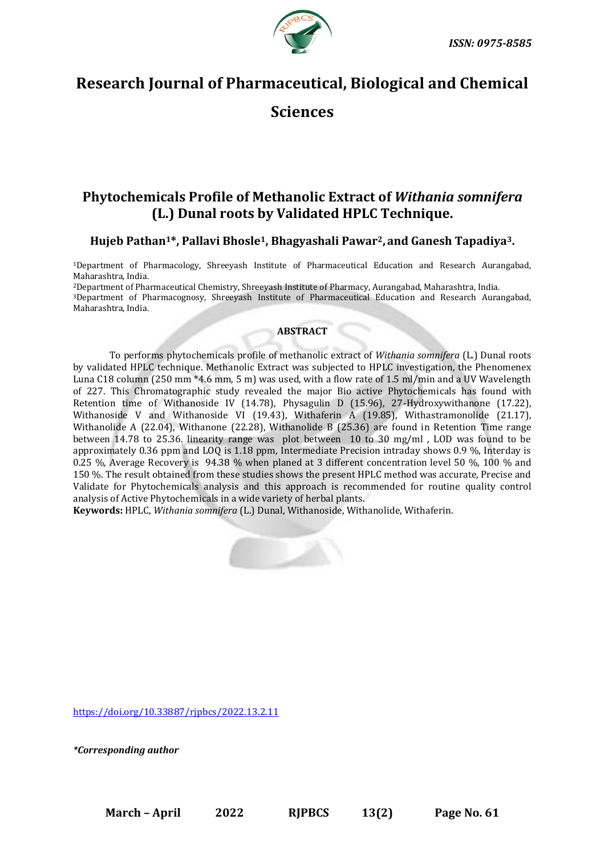

# **Research Journal of Pharmaceutical, Biological and Chemical**

**Sciences**

# **Phytochemicals Profile of Methanolic Extract of** *Withania somnifera*  **(L.) Dunal roots by Validated HPLC Technique.**

# **Hujeb Pathan1\*, Pallavi Bhosle1, Bhagyashali Pawar2, and Ganesh Tapadiya3.**

<sup>1</sup>Department of Pharmacology, Shreeyash Institute of Pharmaceutical Education and Research Aurangabad, Maharashtra, India.

<sup>2</sup>Department of Pharmaceutical Chemistry, Shreeyash Institute of Pharmacy, Aurangabad, Maharashtra, India. <sup>3</sup>Department of Pharmacognosy, Shreeyash Institute of Pharmaceutical Education and Research Aurangabad, Maharashtra, India.

# **ABSTRACT**

To performs phytochemicals profile of methanolic extract of *Withania somnifera* (L.) Dunal roots by validated HPLC technique. Methanolic Extract was subjected to HPLC investigation, the Phenomenex Luna C18 column (250 mm \*4.6 mm, 5 m) was used, with a flow rate of 1.5 ml/min and a UV Wavelength of 227. This Chromatographic study revealed the major Bio active Phytochemicals has found with Retention time of Withanoside IV (14.78), Physagulin D (15.96), 27-Hydroxywithanone (17.22), Withanoside V and Withanoside VI (19.43), Withaferin A (19.85), Withastramonolide (21.17), Withanolide A (22.04), Withanone (22.28), Withanolide B (25.36) are found in Retention Time range between 14.78 to 25.36. linearity range was plot between 10 to 30 mg/ml , LOD was found to be approximately 0.36 ppm and LOQ is 1.18 ppm, Intermediate Precision intraday shows 0.9 %, Interday is 0.25 %, Average Recovery is 94.38 % when planed at 3 different concentration level 50 %, 100 % and 150 %. The result obtained from these studies shows the present HPLC method was accurate, Precise and Validate for Phytochemicals analysis and this approach is recommended for routine quality control analysis of Active Phytochemicals in a wide variety of herbal plants.

**Keywords:** HPLC, *Withania somnifera* (L.) Dunal, Withanoside, Withanolide, Withaferin.



[https://doi.org/10.33887/rjpbcs/2022.13.2.11](https://doi.org/10.33887/rjpbcs/2022.13.1.1)

*\*Corresponding author*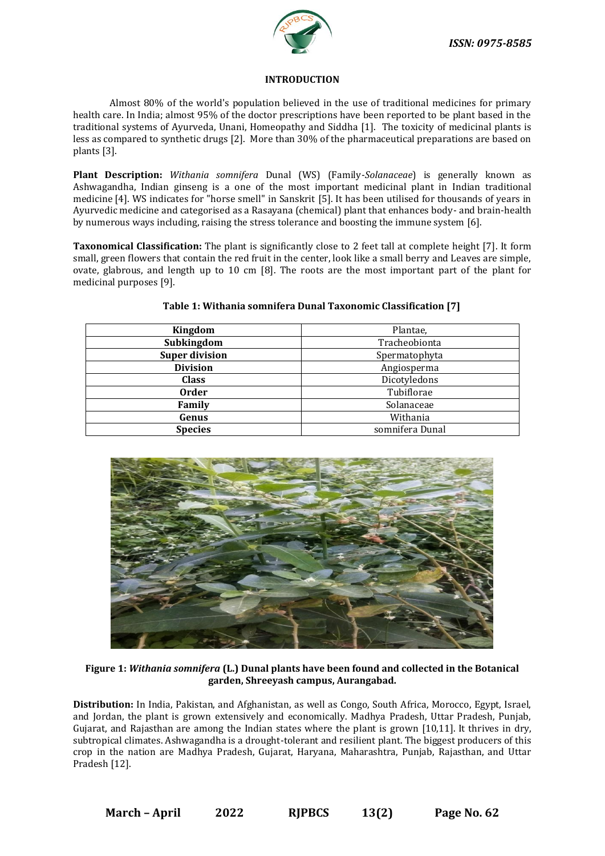

## **INTRODUCTION**

Almost 80% of the world's population believed in the use of traditional medicines for primary health care. In India; almost 95% of the doctor prescriptions have been reported to be plant based in the traditional systems of Ayurveda, Unani, Homeopathy and Siddha [1]. The toxicity of medicinal plants is less as compared to synthetic drugs [2]. More than 30% of the pharmaceutical preparations are based on plants [3].

**Plant Description:** *Withania somnifera* Dunal (WS) (Family-*Solanaceae*) is generally known as Ashwagandha, Indian ginseng is a one of the most important medicinal plant in Indian traditional medicine [4]. WS indicates for "horse smell" in Sanskrit [5]. It has been utilised for thousands of years in Ayurvedic medicine and categorised as a Rasayana (chemical) plant that enhances body- and brain-health by numerous ways including, raising the stress tolerance and boosting the immune system [6].

**Taxonomical Classification:** The plant is significantly close to 2 feet tall at complete height [7]. It form small, green flowers that contain the red fruit in the center, look like a small berry and Leaves are simple, ovate, glabrous, and length up to 10 cm [8]. The roots are the most important part of the plant for medicinal purposes [9].

| Kingdom               | Plantae,        |  |
|-----------------------|-----------------|--|
| Subkingdom            | Tracheobionta   |  |
| <b>Super division</b> | Spermatophyta   |  |
| <b>Division</b>       | Angiosperma     |  |
| <b>Class</b>          | Dicotyledons    |  |
| <b>Order</b>          | Tubiflorae      |  |
| Family                | Solanaceae      |  |
| Genus                 | Withania        |  |
| <b>Species</b>        | somnifera Dunal |  |

# **Table 1: Withania somnifera Dunal Taxonomic Classification [7]**



**Figure 1:** *Withania somnifera* **(L.) Dunal plants have been found and collected in the Botanical garden, Shreeyash campus, Aurangabad.**

**Distribution:** In India, Pakistan, and Afghanistan, as well as Congo, South Africa, Morocco, Egypt, Israel, and Jordan, the plant is grown extensively and economically. Madhya Pradesh, Uttar Pradesh, Punjab, Gujarat, and Rajasthan are among the Indian states where the plant is grown [10,11]. It thrives in dry, subtropical climates. Ashwagandha is a drought-tolerant and resilient plant. The biggest producers of this crop in the nation are Madhya Pradesh, Gujarat, Haryana, Maharashtra, Punjab, Rajasthan, and Uttar Pradesh [12].

**March – April 2022 RJPBCS 13(2) Page No. 62**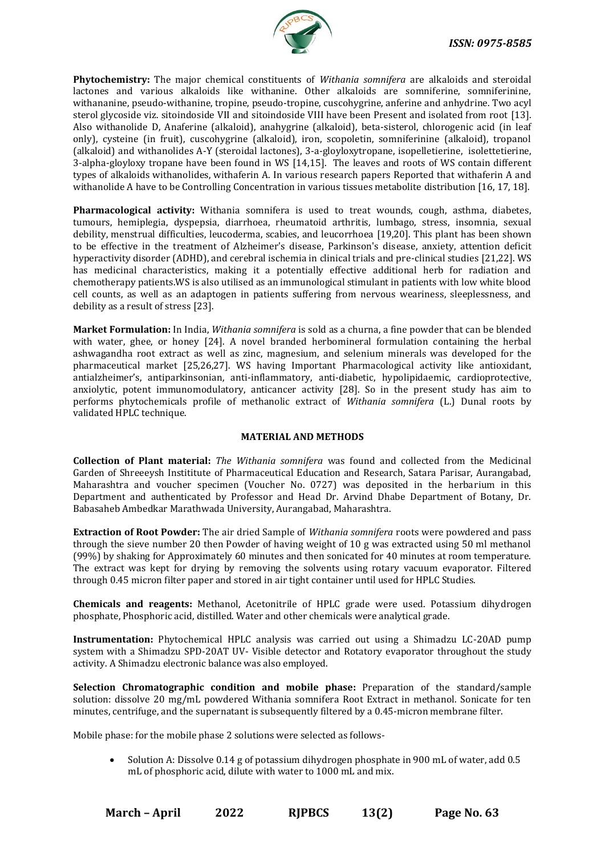

**Phytochemistry:** The major chemical constituents of *Withania somnifera* are alkaloids and steroidal lactones and various alkaloids like withanine. Other alkaloids are somniferine, somniferinine, withananine, pseudo-withanine, tropine, pseudo-tropine, cuscohygrine, anferine and anhydrine. Two acyl sterol glycoside viz. sitoindoside VII and sitoindoside VIII have been Present and isolated from root [13]. Also withanolide D, Anaferine (alkaloid), anahygrine (alkaloid), beta-sisterol, chlorogenic acid (in leaf only), cysteine (in fruit), cuscohygrine (alkaloid), iron, scopoletin, somniferinine (alkaloid), tropanol (alkaloid) and withanolides A-Y (steroidal lactones), 3-a-gloyloxytropane, isopelletierine, isolettetierine, 3-alpha-gloyloxy tropane have been found in WS [14,15]. The leaves and roots of WS contain different types of alkaloids withanolides, withaferin A. In various research papers Reported that withaferin A and withanolide A have to be Controlling Concentration in various tissues metabolite distribution [16, 17, 18].

**Pharmacological activity:** Withania somnifera is used to treat wounds, cough, asthma, diabetes, tumours, hemiplegia, dyspepsia, diarrhoea, rheumatoid arthritis, lumbago, stress, insomnia, sexual debility, menstrual difficulties, leucoderma, scabies, and leucorrhoea [19,20]. This plant has been shown to be effective in the treatment of Alzheimer's disease, Parkinson's disease, anxiety, attention deficit hyperactivity disorder (ADHD), and cerebral ischemia in clinical trials and pre-clinical studies [21,22]. WS has medicinal characteristics, making it a potentially effective additional herb for radiation and chemotherapy patients.WS is also utilised as an immunological stimulant in patients with low white blood cell counts, as well as an adaptogen in patients suffering from nervous weariness, sleeplessness, and debility as a result of stress [23].

**Market Formulation:** In India, *Withania somnifera* is sold as a churna, a fine powder that can be blended with water, ghee, or honey [24]. A novel branded herbomineral formulation containing the herbal ashwagandha root extract as well as zinc, magnesium, and selenium minerals was developed for the pharmaceutical market [25,26,27]. WS having Important Pharmacological activity like antioxidant, antialzheimer's, antiparkinsonian, anti-inflammatory, anti-diabetic, hypolipidaemic, cardioprotective, anxiolytic, potent immunomodulatory, anticancer activity [28]. So in the present study has aim to performs phytochemicals profile of methanolic extract of *Withania somnifera* (L.) Dunal roots by validated HPLC technique.

## **MATERIAL AND METHODS**

**Collection of Plant material:** *The Withania somnifera* was found and collected from the Medicinal Garden of Shreeeysh Instititute of Pharmaceutical Education and Research, Satara Parisar, Aurangabad, Maharashtra and voucher specimen (Voucher No. 0727) was deposited in the herbarium in this Department and authenticated by Professor and Head Dr. Arvind Dhabe Department of Botany, Dr. Babasaheb Ambedkar Marathwada University, Aurangabad, Maharashtra.

**Extraction of Root Powder:** The air dried Sample of *Withania somnifera* roots were powdered and pass through the sieve number 20 then Powder of having weight of 10 g was extracted using 50 ml methanol (99%) by shaking for Approximately 60 minutes and then sonicated for 40 minutes at room temperature. The extract was kept for drying by removing the solvents using rotary vacuum evaporator. Filtered through 0.45 micron filter paper and stored in air tight container until used for HPLC Studies.

**Chemicals and reagents:** Methanol, Acetonitrile of HPLC grade were used. Potassium dihydrogen phosphate, Phosphoric acid, distilled. Water and other chemicals were analytical grade.

**Instrumentation:** Phytochemical HPLC analysis was carried out using a Shimadzu LC-20AD pump system with a Shimadzu SPD-20AT UV- Visible detector and Rotatory evaporator throughout the study activity. A Shimadzu electronic balance was also employed.

**Selection Chromatographic condition and mobile phase:** Preparation of the standard/sample solution: dissolve 20 mg/mL powdered Withania somnifera Root Extract in methanol. Sonicate for ten minutes, centrifuge, and the supernatant is subsequently filtered by a 0.45-micron membrane filter.

Mobile phase: for the mobile phase 2 solutions were selected as follows-

• Solution A: Dissolve 0.14 g of potassium dihydrogen phosphate in 900 mL of water, add 0.5 mL of phosphoric acid, dilute with water to 1000 mL and mix.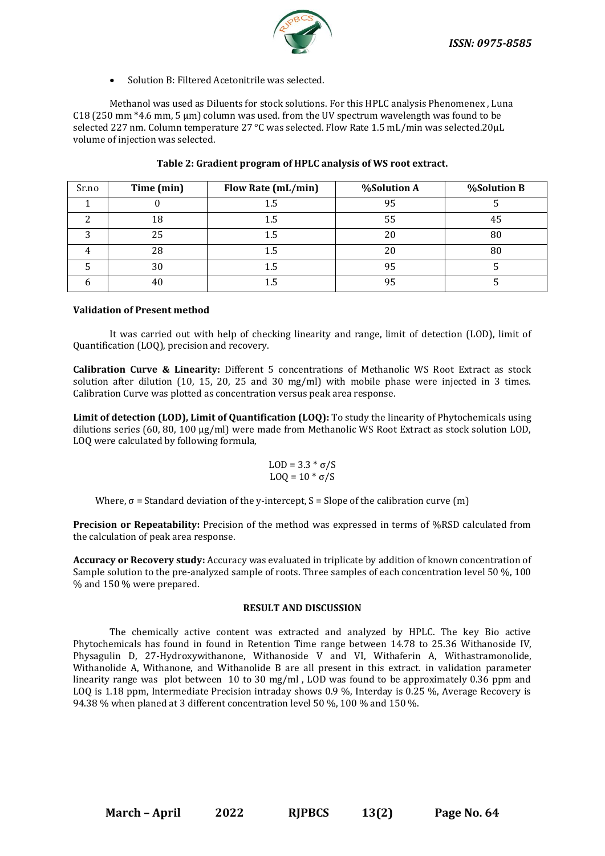

Solution B: Filtered Acetonitrile was selected.

Methanol was used as Diluents for stock solutions. For this HPLC analysis Phenomenex , Luna C18 (250 mm \*4.6 mm, 5 µm) column was used. from the UV spectrum wavelength was found to be selected 227 nm. Column temperature 27 °C was selected. Flow Rate 1.5 mL/min was selected.20µL volume of injection was selected.

| Sr.no | Time (min) | Flow Rate (mL/min) | %Solution A | %Solution B |
|-------|------------|--------------------|-------------|-------------|
|       |            | 1.5                | 95          |             |
|       | 18         | 1.5                | 55          |             |
|       | 25         | 1.5                | 20          | 80          |
|       | 28         | 1.5                | 20          | 80          |
|       | 30         | 1.5                | 95          |             |
|       |            |                    | 95          |             |

# **Table 2: Gradient program of HPLC analysis of WS root extract.**

# **Validation of Present method**

It was carried out with help of checking linearity and range, limit of detection (LOD), limit of Quantification (LOQ), precision and recovery.

**Calibration Curve & Linearity:** Different 5 concentrations of Methanolic WS Root Extract as stock solution after dilution (10, 15, 20, 25 and 30 mg/ml) with mobile phase were injected in 3 times. Calibration Curve was plotted as concentration versus peak area response.

**Limit of detection (LOD), Limit of Quantification (LOQ):** To study the linearity of Phytochemicals using dilutions series (60, 80, 100 µg/ml) were made from Methanolic WS Root Extract as stock solution LOD, LOQ were calculated by following formula,

$$
LOD = 3.3 * \sigma/S
$$

$$
LOQ = 10 * \sigma/S
$$

Where,  $\sigma$  = Standard deviation of the y-intercept, S = Slope of the calibration curve (m)

**Precision or Repeatability:** Precision of the method was expressed in terms of %RSD calculated from the calculation of peak area response.

**Accuracy or Recovery study:** Accuracy was evaluated in triplicate by addition of known concentration of Sample solution to the pre-analyzed sample of roots. Three samples of each concentration level 50 %, 100 % and 150 % were prepared.

## **RESULT AND DISCUSSION**

The chemically active content was extracted and analyzed by HPLC. The key Bio active Phytochemicals has found in found in Retention Time range between 14.78 to 25.36 Withanoside IV, Physagulin D, 27-Hydroxywithanone, Withanoside V and VI, Withaferin A, Withastramonolide, Withanolide A, Withanone, and Withanolide B are all present in this extract. in validation parameter linearity range was plot between 10 to 30 mg/ml , LOD was found to be approximately 0.36 ppm and LOQ is 1.18 ppm, Intermediate Precision intraday shows 0.9 %, Interday is 0.25 %, Average Recovery is 94.38 % when planed at 3 different concentration level 50 %, 100 % and 150 %.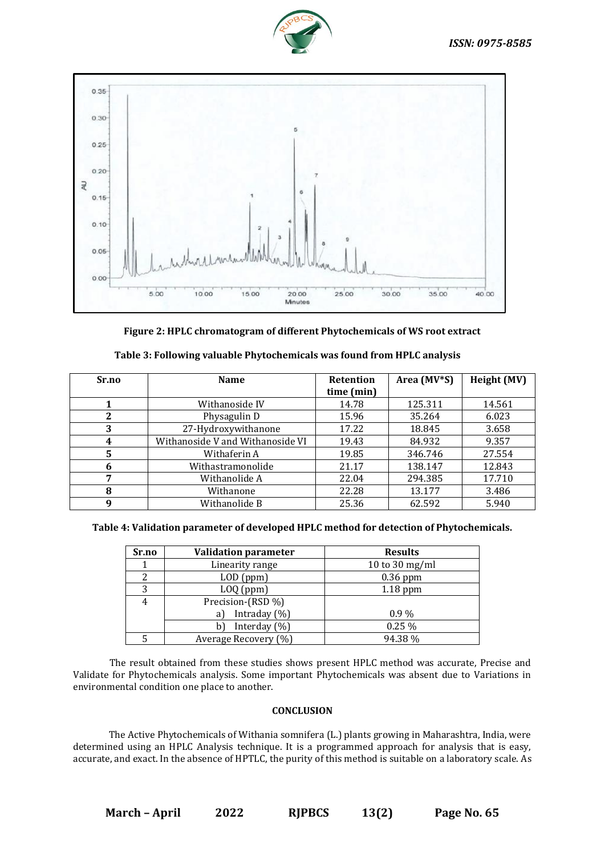



**Figure 2: HPLC chromatogram of different Phytochemicals of WS root extract**

| Sr.no | <b>Name</b>                      | <b>Retention</b> | Area (MV*S) | Height (MV) |
|-------|----------------------------------|------------------|-------------|-------------|
|       |                                  | time (min)       |             |             |
|       | Withanoside IV                   | 14.78            | 125.311     | 14.561      |
| 2     | Physagulin D                     | 15.96            | 35.264      | 6.023       |
| 3     | 27-Hydroxywithanone              | 17.22            | 18.845      | 3.658       |
| 4     | Withanoside V and Withanoside VI | 19.43            | 84.932      | 9.357       |
| 5     | Withaferin A                     | 19.85            | 346.746     | 27.554      |
| 6     | Withastramonolide                | 21.17            | 138.147     | 12.843      |
| 7     | Withanolide A                    | 22.04            | 294.385     | 17.710      |
| 8     | Withanone                        | 22.28            | 13.177      | 3.486       |
| 9     | Withanolide B                    | 25.36            | 62.592      | 5.940       |

**Table 3: Following valuable Phytochemicals was found from HPLC analysis**

**Table 4: Validation parameter of developed HPLC method for detection of Phytochemicals.**

| Sr.no | <b>Validation parameter</b> | <b>Results</b> |
|-------|-----------------------------|----------------|
|       | Linearity range             | 10 to 30 mg/ml |
|       | $LOD$ (ppm)                 | $0.36$ ppm     |
| 3     | $LOQ$ (ppm)                 | $1.18$ ppm     |
| 4     | Precision-(RSD %)           |                |
|       | Intraday $(\%)$<br>a)       | $0.9\%$        |
|       | Interday $(\%)$<br>b١       | 0.25%          |
|       | Average Recovery (%)        | 94.38%         |

The result obtained from these studies shows present HPLC method was accurate, Precise and Validate for Phytochemicals analysis. Some important Phytochemicals was absent due to Variations in environmental condition one place to another.

## **CONCLUSION**

The Active Phytochemicals of Withania somnifera (L.) plants growing in Maharashtra, India, were determined using an HPLC Analysis technique. It is a programmed approach for analysis that is easy, accurate, and exact. In the absence of HPTLC, the purity of this method is suitable on a laboratory scale. As

**March – April 2022 RJPBCS 13(2) Page No. 65**